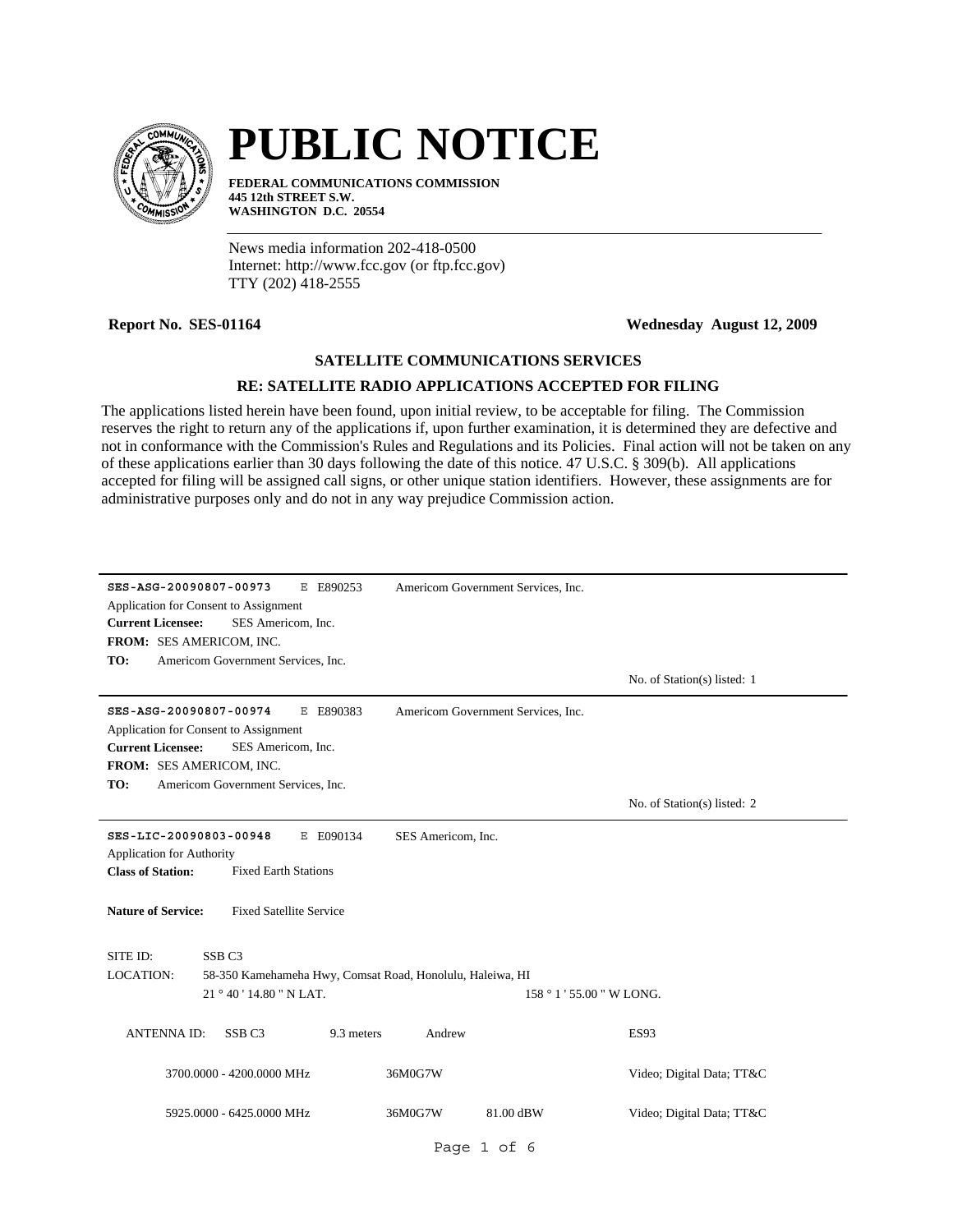

# **PUBLIC NOTICE**

**FEDERAL COMMUNICATIONS COMMISSION 445 12th STREET S.W. WASHINGTON D.C. 20554**

News media information 202-418-0500 Internet: http://www.fcc.gov (or ftp.fcc.gov) TTY (202) 418-2555

**Report No. SES-01164 Wednesday August 12, 2009**

# **SATELLITE COMMUNICATIONS SERVICES**

# **RE: SATELLITE RADIO APPLICATIONS ACCEPTED FOR FILING**

The applications listed herein have been found, upon initial review, to be acceptable for filing. The Commission reserves the right to return any of the applications if, upon further examination, it is determined they are defective and not in conformance with the Commission's Rules and Regulations and its Policies. Final action will not be taken on any of these applications earlier than 30 days following the date of this notice. 47 U.S.C. § 309(b). All applications accepted for filing will be assigned call signs, or other unique station identifiers. However, these assignments are for administrative purposes only and do not in any way prejudice Commission action.

| SES-ASG-20090807-00973<br>E E890253<br>Application for Consent to Assignment<br>SES Americom, Inc.<br><b>Current Licensee:</b><br>FROM: SES AMERICOM, INC.<br>TO:<br>Americom Government Services, Inc.                 | Americom Government Services, Inc.  | No. of Station(s) listed: 1                            |  |
|-------------------------------------------------------------------------------------------------------------------------------------------------------------------------------------------------------------------------|-------------------------------------|--------------------------------------------------------|--|
| SES-ASG-20090807-00974<br>E E890383<br>Application for Consent to Assignment<br><b>Current Licensee:</b><br>SES Americom, Inc.<br>FROM: SES AMERICOM, INC.<br>Americom Government Services, Inc.<br>TO:                 | Americom Government Services, Inc.  | No. of Station(s) listed: 2                            |  |
| SES-LIC-20090803-00948<br>E E090134<br>SES Americom, Inc.<br><b>Application for Authority</b><br><b>Class of Station:</b><br><b>Fixed Earth Stations</b><br><b>Nature of Service:</b><br><b>Fixed Satellite Service</b> |                                     |                                                        |  |
| SITE ID:<br>SSB <sub>C3</sub><br><b>LOCATION:</b><br>58-350 Kamehameha Hwy, Comsat Road, Honolulu, Haleiwa, HI<br>21 ° 40 ' 14.80 " N LAT.<br>SSB <sub>C3</sub><br>9.3 meters<br><b>ANTENNAID:</b>                      | 158 ° 1 ' 55.00 " W LONG.<br>Andrew | <b>ES93</b>                                            |  |
| 3700.0000 - 4200.0000 MHz<br>5925.0000 - 6425.0000 MHz                                                                                                                                                                  | 36M0G7W<br>36M0G7W<br>81.00 dBW     | Video; Digital Data; TT&C<br>Video; Digital Data; TT&C |  |
|                                                                                                                                                                                                                         | Page 1 of 6                         |                                                        |  |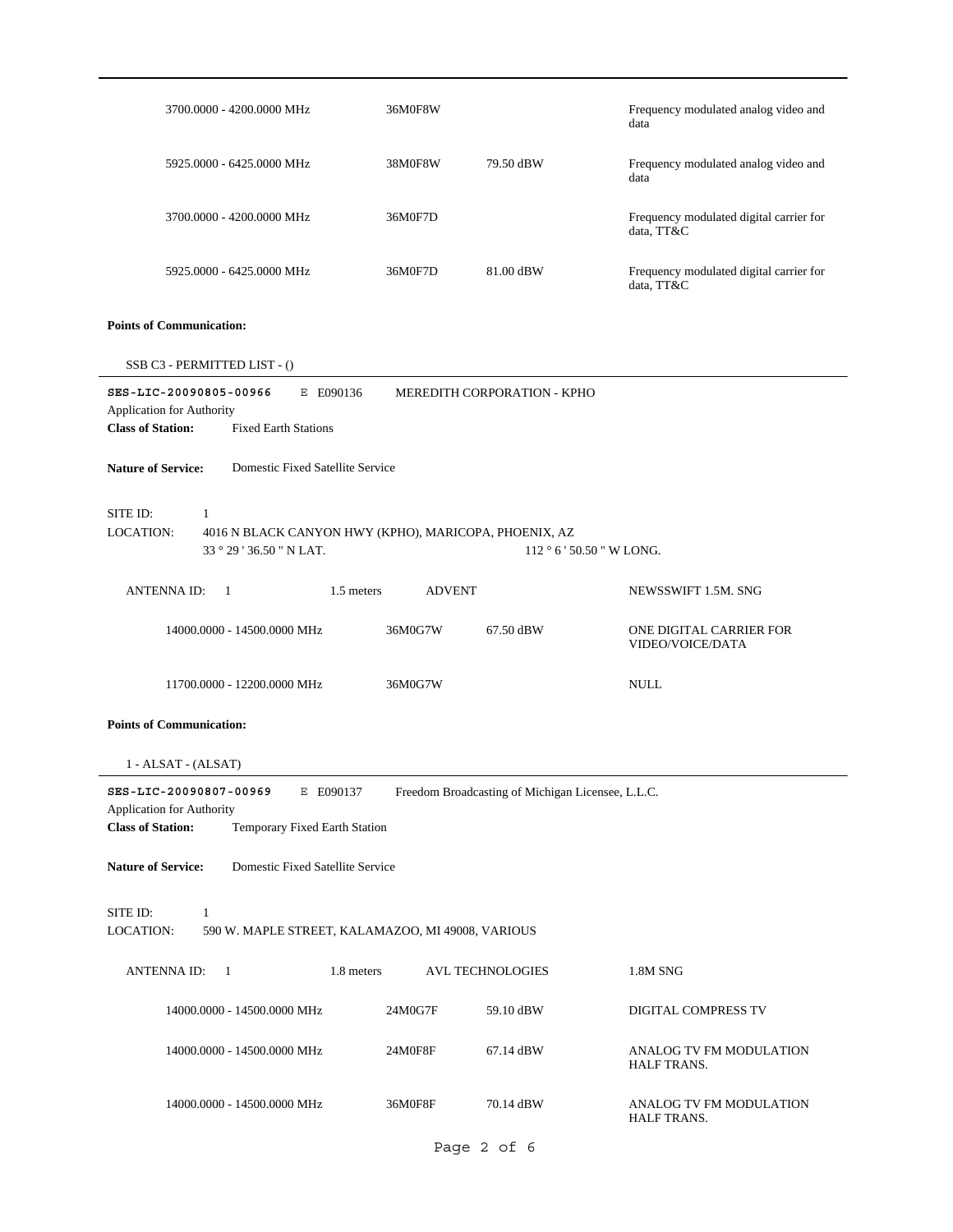| 3700.0000 - 4200.0000 MHz                                                                                                                                                                      | 36M0F8W       |                                                   | Frequency modulated analog video and<br>data          |
|------------------------------------------------------------------------------------------------------------------------------------------------------------------------------------------------|---------------|---------------------------------------------------|-------------------------------------------------------|
| 5925.0000 - 6425.0000 MHz                                                                                                                                                                      | 38M0F8W       | 79.50 dBW                                         | Frequency modulated analog video and<br>data          |
| 3700.0000 - 4200.0000 MHz                                                                                                                                                                      | 36M0F7D       |                                                   | Frequency modulated digital carrier for<br>data, TT&C |
| 5925.0000 - 6425.0000 MHz                                                                                                                                                                      | 36M0F7D       | 81.00 dBW                                         | Frequency modulated digital carrier for<br>data, TT&C |
| <b>Points of Communication:</b>                                                                                                                                                                |               |                                                   |                                                       |
| SSB C3 - PERMITTED LIST - ()                                                                                                                                                                   |               |                                                   |                                                       |
| SES-LIC-20090805-00966<br>E E090136<br>Application for Authority<br><b>Class of Station:</b><br><b>Fixed Earth Stations</b><br><b>Nature of Service:</b><br>Domestic Fixed Satellite Service   |               | MEREDITH CORPORATION - KPHO                       |                                                       |
| SITE ID:<br>1<br><b>LOCATION:</b><br>4016 N BLACK CANYON HWY (KPHO), MARICOPA, PHOENIX, AZ<br>33 ° 29 ' 36.50 " N LAT.                                                                         |               |                                                   | 112 ° 6 ' 50.50 " W LONG.                             |
| <b>ANTENNAID:</b><br>1.5 meters<br>$\overline{1}$                                                                                                                                              | <b>ADVENT</b> |                                                   | NEWSSWIFT 1.5M. SNG                                   |
| 14000.0000 - 14500.0000 MHz                                                                                                                                                                    | 36M0G7W       | 67.50 dBW                                         | ONE DIGITAL CARRIER FOR<br>VIDEO/VOICE/DATA           |
| 11700.0000 - 12200.0000 MHz                                                                                                                                                                    | 36M0G7W       |                                                   | <b>NULL</b>                                           |
| <b>Points of Communication:</b>                                                                                                                                                                |               |                                                   |                                                       |
| $1 - ALSAT - (ALSAT)$                                                                                                                                                                          |               |                                                   |                                                       |
| SES-LIC-20090807-00969<br>E E090137<br>Application for Authority<br><b>Class of Station:</b><br>Temporary Fixed Earth Station<br>Domestic Fixed Satellite Service<br><b>Nature of Service:</b> |               | Freedom Broadcasting of Michigan Licensee, L.L.C. |                                                       |
|                                                                                                                                                                                                |               |                                                   |                                                       |
| SITE ID:<br>$\mathbf{1}$<br>LOCATION:<br>590 W. MAPLE STREET, KALAMAZOO, MI 49008, VARIOUS                                                                                                     |               |                                                   |                                                       |
| 1.8 meters<br><b>ANTENNA ID:</b><br>- 1                                                                                                                                                        |               | AVL TECHNOLOGIES                                  | 1.8M SNG                                              |
| 14000.0000 - 14500.0000 MHz                                                                                                                                                                    | 24M0G7F       | 59.10 dBW                                         | DIGITAL COMPRESS TV                                   |
| 14000.0000 - 14500.0000 MHz                                                                                                                                                                    | 24M0F8F       | 67.14 dBW                                         | ANALOG TV FM MODULATION<br>HALF TRANS.                |
| 14000.0000 - 14500.0000 MHz                                                                                                                                                                    | 36M0F8F       | 70.14 dBW                                         | ANALOG TV FM MODULATION<br>HALF TRANS.                |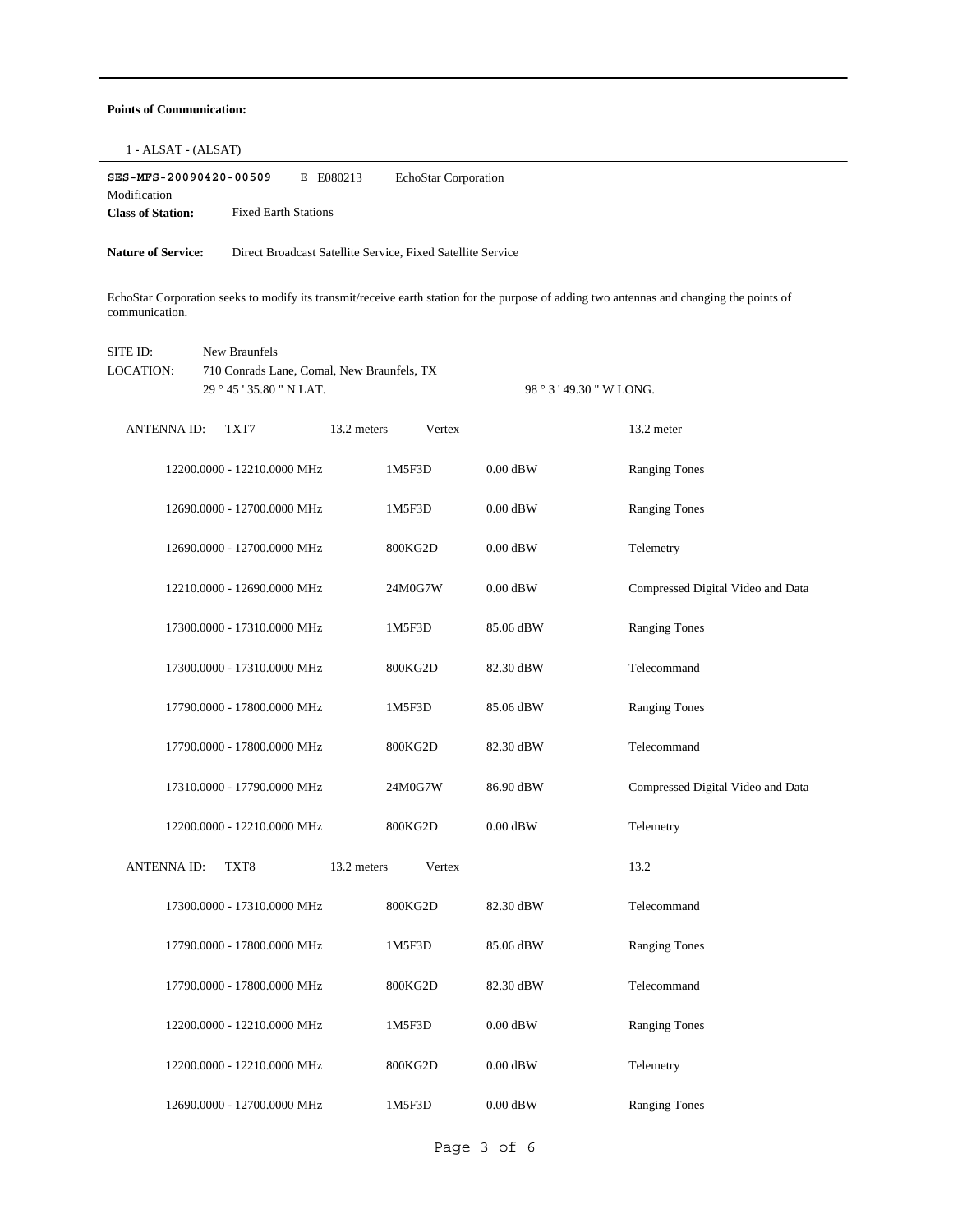### **Points of Communication:**

| SES-MFS-20090420-00509<br>E E080213<br>EchoStar Corporation<br>Modification<br><b>Class of Station:</b><br><b>Fixed Earth Stations</b>                      |                       |            |                                   |
|-------------------------------------------------------------------------------------------------------------------------------------------------------------|-----------------------|------------|-----------------------------------|
| <b>Nature of Service:</b><br>Direct Broadcast Satellite Service, Fixed Satellite Service                                                                    |                       |            |                                   |
| EchoStar Corporation seeks to modify its transmit/receive earth station for the purpose of adding two antennas and changing the points of<br>communication. |                       |            |                                   |
| SITE ID:<br>New Braunfels<br>LOCATION:<br>710 Conrads Lane, Comal, New Braunfels, TX<br>29 ° 45 ' 35.80 " N LAT.<br>98 ° 3 ' 49.30 " W LONG.                |                       |            |                                   |
|                                                                                                                                                             |                       |            |                                   |
| <b>ANTENNA ID:</b><br>TXT7                                                                                                                                  | 13.2 meters<br>Vertex |            | 13.2 meter                        |
| 12200.0000 - 12210.0000 MHz                                                                                                                                 | 1M5F3D                | $0.00$ dBW | <b>Ranging Tones</b>              |
| 12690.0000 - 12700.0000 MHz                                                                                                                                 | 1M5F3D                | $0.00$ dBW | <b>Ranging Tones</b>              |
| 12690.0000 - 12700.0000 MHz                                                                                                                                 | 800KG2D               | $0.00$ dBW | Telemetry                         |
| 12210.0000 - 12690.0000 MHz                                                                                                                                 | 24M0G7W               | $0.00$ dBW | Compressed Digital Video and Data |
| 17300.0000 - 17310.0000 MHz                                                                                                                                 | 1M5F3D                | 85.06 dBW  | <b>Ranging Tones</b>              |
| 17300.0000 - 17310.0000 MHz                                                                                                                                 | 800KG2D               | 82.30 dBW  | Telecommand                       |
| 17790.0000 - 17800.0000 MHz                                                                                                                                 | 1M5F3D                | 85.06 dBW  | <b>Ranging Tones</b>              |
| 17790.0000 - 17800.0000 MHz                                                                                                                                 | 800KG2D               | 82.30 dBW  | Telecommand                       |
| 17310.0000 - 17790.0000 MHz                                                                                                                                 | 24M0G7W               | 86.90 dBW  | Compressed Digital Video and Data |
| 12200.0000 - 12210.0000 MHz                                                                                                                                 | 800KG2D               | $0.00$ dBW | Telemetry                         |
| ANTENNA ID:<br>TXT8                                                                                                                                         | 13.2 meters<br>Vertex |            | 13.2                              |
| 17300.0000 - 17310.0000 MHz                                                                                                                                 | 800KG2D               | 82.30 dBW  | Telecommand                       |
| 17790.0000 - 17800.0000 MHz                                                                                                                                 | 1M5F3D                | 85.06 dBW  | <b>Ranging Tones</b>              |
| 17790.0000 - 17800.0000 MHz                                                                                                                                 | 800KG2D               | 82.30 dBW  | Telecommand                       |
| 12200.0000 - 12210.0000 MHz                                                                                                                                 | 1M5F3D                | $0.00$ dBW | <b>Ranging Tones</b>              |
| 12200.0000 - 12210.0000 MHz                                                                                                                                 | 800KG2D               | $0.00$ dBW | Telemetry                         |
| 12690.0000 - 12700.0000 MHz                                                                                                                                 | 1M5F3D                | $0.00$ dBW | <b>Ranging Tones</b>              |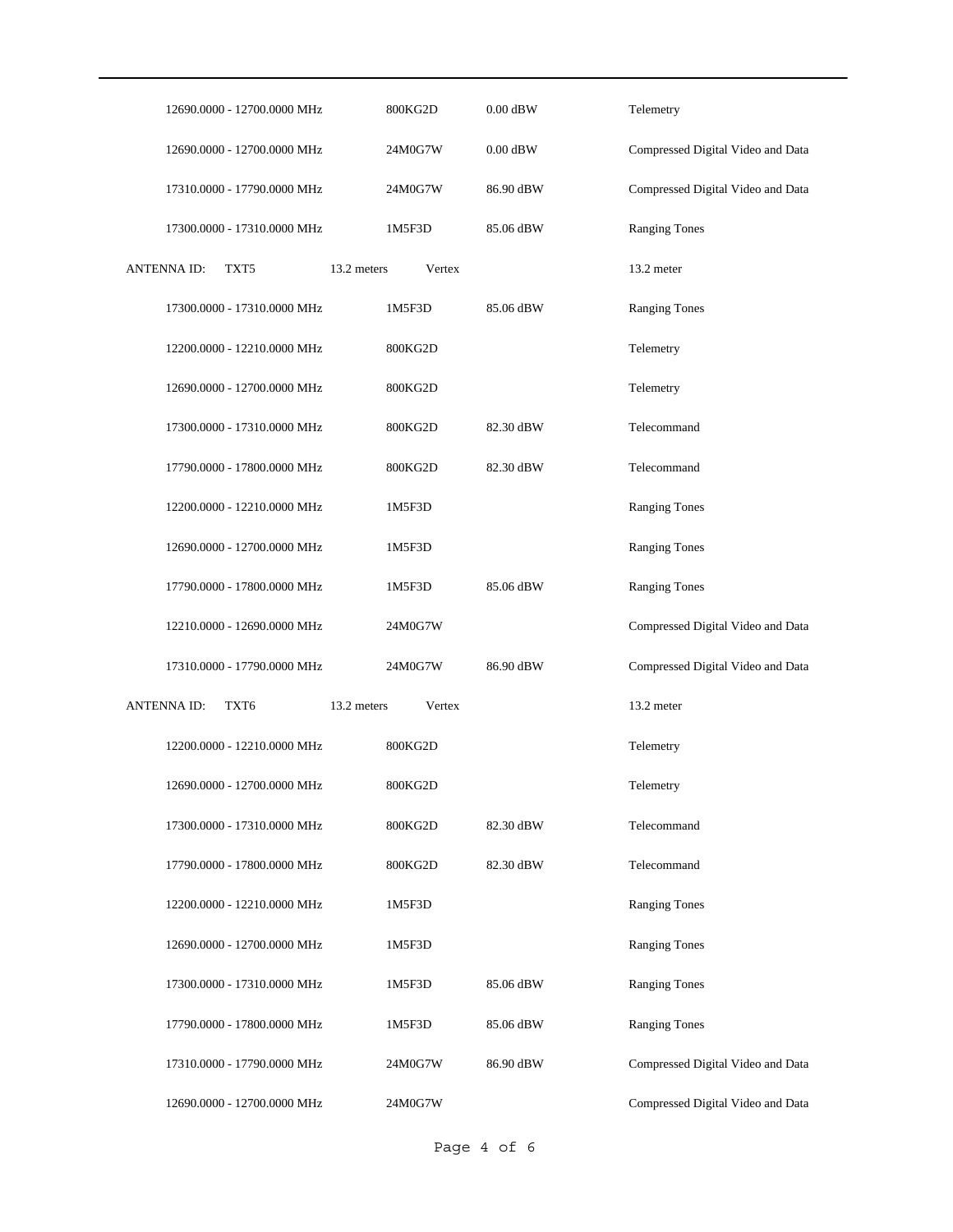| 12690.0000 - 12700.0000 MHz           | 800KG2D               | $0.00$ dBW | Telemetry                         |
|---------------------------------------|-----------------------|------------|-----------------------------------|
| 12690.0000 - 12700.0000 MHz           | 24M0G7W               | $0.00$ dBW | Compressed Digital Video and Data |
| 17310.0000 - 17790.0000 MHz           | 24M0G7W               | 86.90 dBW  | Compressed Digital Video and Data |
| 17300.0000 - 17310.0000 MHz           | 1M5F3D                | 85.06 dBW  | <b>Ranging Tones</b>              |
| <b>ANTENNAID:</b><br>TXT <sub>5</sub> | 13.2 meters<br>Vertex |            | 13.2 meter                        |
| 17300.0000 - 17310.0000 MHz           | 1M5F3D                | 85.06 dBW  | <b>Ranging Tones</b>              |
| 12200.0000 - 12210.0000 MHz           | 800KG2D               |            | Telemetry                         |
| 12690.0000 - 12700.0000 MHz           | 800KG2D               |            | Telemetry                         |
| 17300.0000 - 17310.0000 MHz           | 800KG2D               | 82.30 dBW  | Telecommand                       |
| 17790.0000 - 17800.0000 MHz           | 800KG2D               | 82.30 dBW  | Telecommand                       |
| 12200.0000 - 12210.0000 MHz           | 1M5F3D                |            | <b>Ranging Tones</b>              |
| 12690.0000 - 12700.0000 MHz           | 1M5F3D                |            | <b>Ranging Tones</b>              |
| 17790.0000 - 17800.0000 MHz           | 1M5F3D                | 85.06 dBW  | <b>Ranging Tones</b>              |
| 12210.0000 - 12690.0000 MHz           | 24M0G7W               |            | Compressed Digital Video and Data |
| 17310.0000 - 17790.0000 MHz           | 24M0G7W               | 86.90 dBW  | Compressed Digital Video and Data |
| <b>ANTENNAID:</b><br>TXT6             | 13.2 meters<br>Vertex |            | 13.2 meter                        |
| 12200.0000 - 12210.0000 MHz           | 800KG2D               |            | Telemetry                         |
| 12690.0000 - 12700.0000 MHz           | 800KG2D               |            | Telemetry                         |
| 17300.0000 - 17310.0000 MHz           | 800KG2D               | 82.30 dBW  | Telecommand                       |
| 17790.0000 - 17800.0000 MHz           | 800KG2D               | 82.30 dBW  | Telecommand                       |
| 12200.0000 - 12210.0000 MHz           | 1M5F3D                |            | <b>Ranging Tones</b>              |
| 12690.0000 - 12700.0000 MHz           | 1M5F3D                |            | <b>Ranging Tones</b>              |
| 17300.0000 - 17310.0000 MHz           | 1M5F3D                | 85.06 dBW  | <b>Ranging Tones</b>              |
|                                       | 1M5F3D                | 85.06 dBW  | <b>Ranging Tones</b>              |
| 17790.0000 - 17800.0000 MHz           |                       |            |                                   |
| 17310.0000 - 17790.0000 MHz           | 24M0G7W               | 86.90 dBW  | Compressed Digital Video and Data |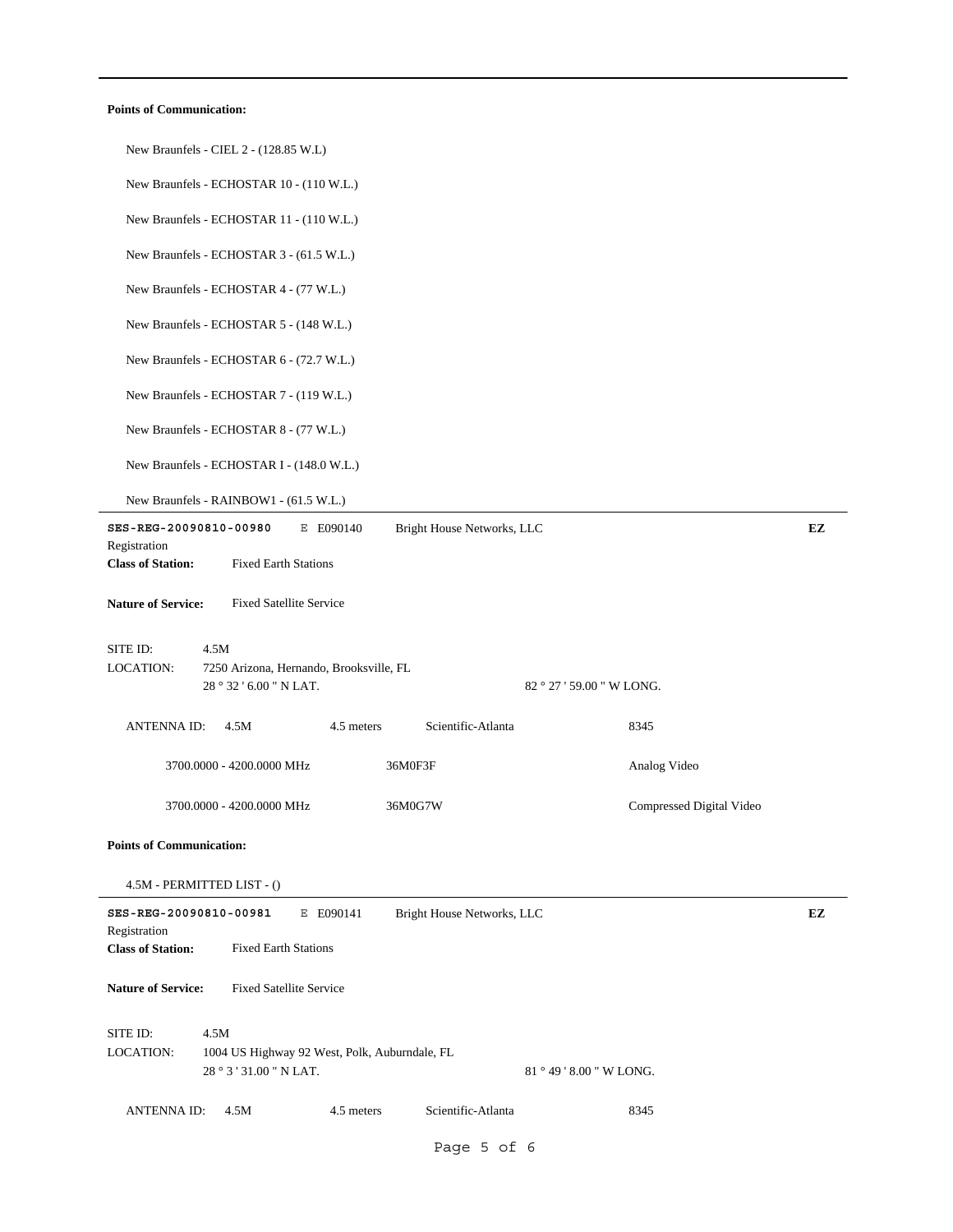### **Points of Communication:**

| New Braunfels - CIEL 2 - (128.85 W.L)                                                                                                        |    |
|----------------------------------------------------------------------------------------------------------------------------------------------|----|
| New Braunfels - ECHOSTAR 10 - (110 W.L.)                                                                                                     |    |
| New Braunfels - ECHOSTAR 11 - (110 W.L.)                                                                                                     |    |
| New Braunfels - ECHOSTAR 3 - (61.5 W.L.)                                                                                                     |    |
| New Braunfels - ECHOSTAR 4 - (77 W.L.)                                                                                                       |    |
| New Braunfels - ECHOSTAR 5 - (148 W.L.)                                                                                                      |    |
| New Braunfels - ECHOSTAR 6 - (72.7 W.L.)                                                                                                     |    |
| New Braunfels - ECHOSTAR 7 - (119 W.L.)                                                                                                      |    |
| New Braunfels - ECHOSTAR 8 - (77 W.L.)                                                                                                       |    |
| New Braunfels - ECHOSTAR I - (148.0 W.L.)                                                                                                    |    |
| New Braunfels - RAINBOW1 - (61.5 W.L.)                                                                                                       |    |
| SES-REG-20090810-00980<br>Bright House Networks, LLC<br>E E090140<br>Registration<br><b>Class of Station:</b><br><b>Fixed Earth Stations</b> | EZ |
| <b>Fixed Satellite Service</b><br><b>Nature of Service:</b>                                                                                  |    |
|                                                                                                                                              |    |
| SITE ID:<br>4.5M<br><b>LOCATION:</b><br>7250 Arizona, Hernando, Brooksville, FL<br>28 ° 32 ' 6.00 " N LAT.<br>82 ° 27 ' 59.00 " W LONG.      |    |
| Scientific-Atlanta<br>8345<br><b>ANTENNA ID:</b><br>4.5M<br>4.5 meters                                                                       |    |
| 3700.0000 - 4200.0000 MHz<br>36M0F3F<br>Analog Video                                                                                         |    |
| 3700.0000 - 4200.0000 MHz<br>36M0G7W<br>Compressed Digital Video                                                                             |    |
| <b>Points of Communication:</b>                                                                                                              |    |
| 4.5M - PERMITTED LIST - ()                                                                                                                   |    |
| SES-REG-20090810-00981<br>Bright House Networks, LLC<br>E E090141<br>Registration<br><b>Fixed Earth Stations</b><br><b>Class of Station:</b> | EZ |
| <b>Fixed Satellite Service</b><br><b>Nature of Service:</b>                                                                                  |    |
| SITE ID:<br>4.5M<br><b>LOCATION:</b><br>1004 US Highway 92 West, Polk, Auburndale, FL<br>28 ° 3 ' 31.00 " N LAT.<br>81 ° 49 ' 8.00 " W LONG. |    |